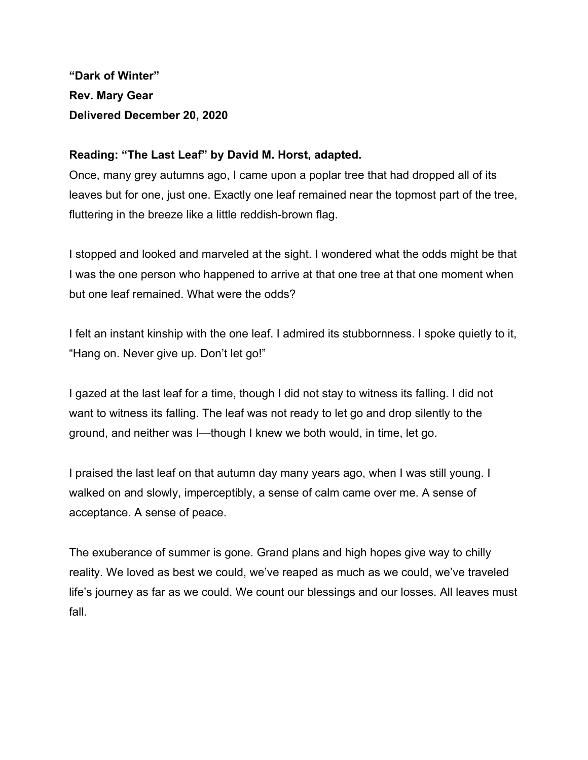**"Dark of Winter" Rev. Mary Gear Delivered December 20, 2020**

## **Reading: "The Last Leaf" by David M. Horst, adapted.**

Once, many grey autumns ago, I came upon a poplar tree that had dropped all of its leaves but for one, just one. Exactly one leaf remained near the topmost part of the tree, fluttering in the breeze like a little reddish-brown flag.

I stopped and looked and marveled at the sight. I wondered what the odds might be that I was the one person who happened to arrive at that one tree at that one moment when but one leaf remained. What were the odds?

I felt an instant kinship with the one leaf. I admired its stubbornness. I spoke quietly to it, "Hang on. Never give up. Don't let go!"

I gazed at the last leaf for a time, though I did not stay to witness its falling. I did not want to witness its falling. The leaf was not ready to let go and drop silently to the ground, and neither was I—though I knew we both would, in time, let go.

I praised the last leaf on that autumn day many years ago, when I was still young. I walked on and slowly, imperceptibly, a sense of calm came over me. A sense of acceptance. A sense of peace.

The exuberance of summer is gone. Grand plans and high hopes give way to chilly reality. We loved as best we could, we've reaped as much as we could, we've traveled life's journey as far as we could. We count our blessings and our losses. All leaves must fall.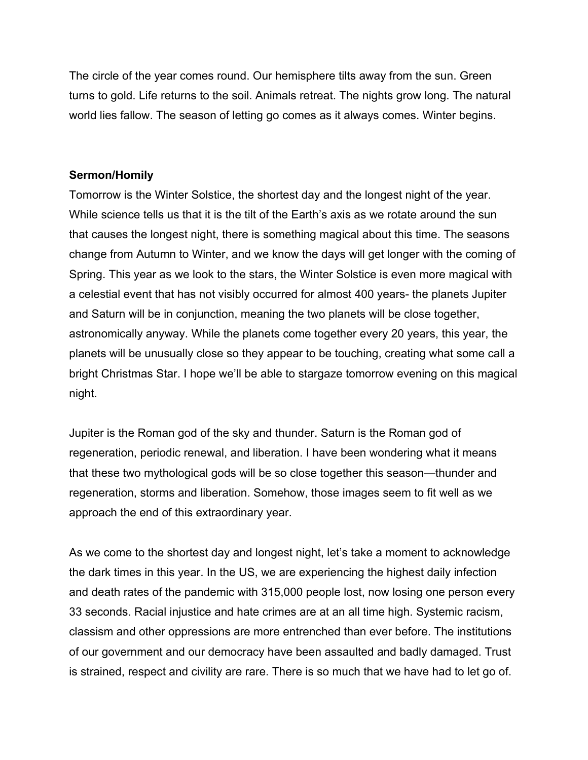The circle of the year comes round. Our hemisphere tilts away from the sun. Green turns to gold. Life returns to the soil. Animals retreat. The nights grow long. The natural world lies fallow. The season of letting go comes as it always comes. Winter begins.

## **Sermon/Homily**

Tomorrow is the Winter Solstice, the shortest day and the longest night of the year. While science tells us that it is the tilt of the Earth's axis as we rotate around the sun that causes the longest night, there is something magical about this time. The seasons change from Autumn to Winter, and we know the days will get longer with the coming of Spring. This year as we look to the stars, the Winter Solstice is even more magical with a celestial event that has not visibly occurred for almost 400 years- the planets Jupiter and Saturn will be in conjunction, meaning the two planets will be close together, astronomically anyway. While the planets come together every 20 years, this year, the planets will be unusually close so they appear to be touching, creating what some call a bright Christmas Star. I hope we'll be able to stargaze tomorrow evening on this magical night.

Jupiter is the Roman god of the sky and thunder. Saturn is the Roman god of regeneration, periodic renewal, and liberation. I have been wondering what it means that these two mythological gods will be so close together this season—thunder and regeneration, storms and liberation. Somehow, those images seem to fit well as we approach the end of this extraordinary year.

As we come to the shortest day and longest night, let's take a moment to acknowledge the dark times in this year. In the US, we are experiencing the highest daily infection and death rates of the pandemic with 315,000 people lost, now losing one person every 33 seconds. Racial injustice and hate crimes are at an all time high. Systemic racism, classism and other oppressions are more entrenched than ever before. The institutions of our government and our democracy have been assaulted and badly damaged. Trust is strained, respect and civility are rare. There is so much that we have had to let go of.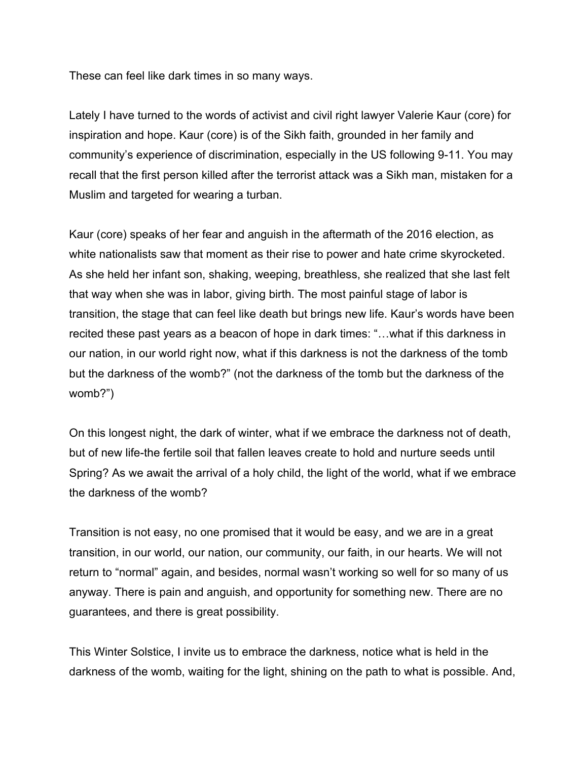These can feel like dark times in so many ways.

Lately I have turned to the words of activist and civil right lawyer Valerie Kaur (core) for inspiration and hope. Kaur (core) is of the Sikh faith, grounded in her family and community's experience of discrimination, especially in the US following 9-11. You may recall that the first person killed after the terrorist attack was a Sikh man, mistaken for a Muslim and targeted for wearing a turban.

Kaur (core) speaks of her fear and anguish in the aftermath of the 2016 election, as white nationalists saw that moment as their rise to power and hate crime skyrocketed. As she held her infant son, shaking, weeping, breathless, she realized that she last felt that way when she was in labor, giving birth. The most painful stage of labor is transition, the stage that can feel like death but brings new life. Kaur's words have been recited these past years as a beacon of hope in dark times: "…what if this darkness in our nation, in our world right now, what if this darkness is not the darkness of the tomb but the darkness of the womb?" (not the darkness of the tomb but the darkness of the womb?")

On this longest night, the dark of winter, what if we embrace the darkness not of death, but of new life-the fertile soil that fallen leaves create to hold and nurture seeds until Spring? As we await the arrival of a holy child, the light of the world, what if we embrace the darkness of the womb?

Transition is not easy, no one promised that it would be easy, and we are in a great transition, in our world, our nation, our community, our faith, in our hearts. We will not return to "normal" again, and besides, normal wasn't working so well for so many of us anyway. There is pain and anguish, and opportunity for something new. There are no guarantees, and there is great possibility.

This Winter Solstice, I invite us to embrace the darkness, notice what is held in the darkness of the womb, waiting for the light, shining on the path to what is possible. And,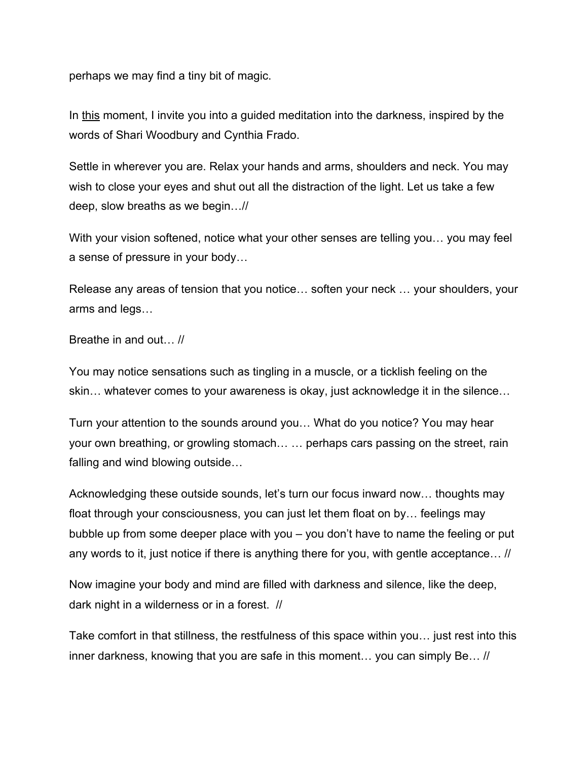perhaps we may find a tiny bit of magic.

In this moment, I invite you into a guided meditation into the darkness, inspired by the words of Shari Woodbury and Cynthia Frado.

Settle in wherever you are. Relax your hands and arms, shoulders and neck. You may wish to close your eyes and shut out all the distraction of the light. Let us take a few deep, slow breaths as we begin…//

With your vision softened, notice what your other senses are telling you… you may feel a sense of pressure in your body…

Release any areas of tension that you notice… soften your neck … your shoulders, your arms and legs…

Breathe in and out… //

You may notice sensations such as tingling in a muscle, or a ticklish feeling on the skin… whatever comes to your awareness is okay, just acknowledge it in the silence…

Turn your attention to the sounds around you… What do you notice? You may hear your own breathing, or growling stomach… … perhaps cars passing on the street, rain falling and wind blowing outside…

Acknowledging these outside sounds, let's turn our focus inward now… thoughts may float through your consciousness, you can just let them float on by… feelings may bubble up from some deeper place with you – you don't have to name the feeling or put any words to it, just notice if there is anything there for you, with gentle acceptance… //

Now imagine your body and mind are filled with darkness and silence, like the deep, dark night in a wilderness or in a forest. //

Take comfort in that stillness, the restfulness of this space within you… just rest into this inner darkness, knowing that you are safe in this moment… you can simply Be… //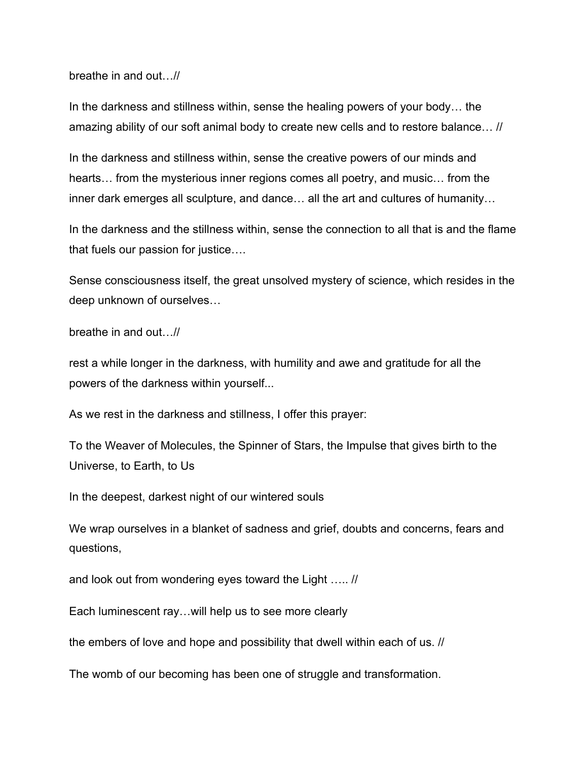breathe in and out…//

In the darkness and stillness within, sense the healing powers of your body… the amazing ability of our soft animal body to create new cells and to restore balance… //

In the darkness and stillness within, sense the creative powers of our minds and hearts… from the mysterious inner regions comes all poetry, and music… from the inner dark emerges all sculpture, and dance… all the art and cultures of humanity…

In the darkness and the stillness within, sense the connection to all that is and the flame that fuels our passion for justice….

Sense consciousness itself, the great unsolved mystery of science, which resides in the deep unknown of ourselves…

breathe in and out…//

rest a while longer in the darkness, with humility and awe and gratitude for all the powers of the darkness within yourself...

As we rest in the darkness and stillness, I offer this prayer:

To the Weaver of Molecules, the Spinner of Stars, the Impulse that gives birth to the Universe, to Earth, to Us

In the deepest, darkest night of our wintered souls

We wrap ourselves in a blanket of sadness and grief, doubts and concerns, fears and questions,

and look out from wondering eyes toward the Light ….. //

Each luminescent ray…will help us to see more clearly

the embers of love and hope and possibility that dwell within each of us. //

The womb of our becoming has been one of struggle and transformation.